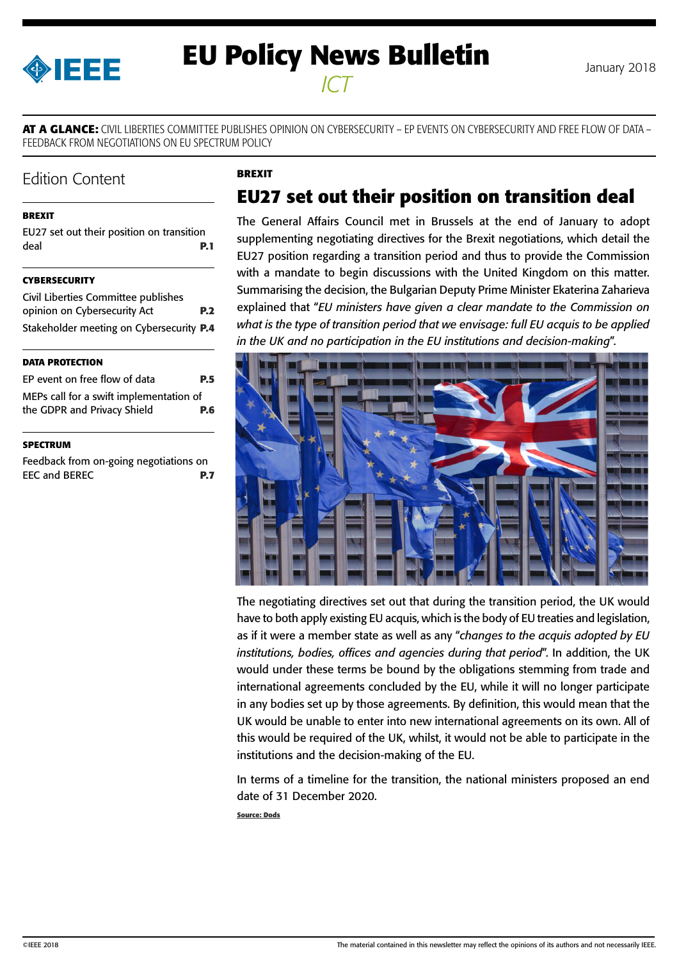<span id="page-0-0"></span>

# **EU Policy News Bulletin** January 2018 *ICT*

**AT A GLANCE:** CIVIL LIBERTIES COMMITTEE PUBLISHES OPINION ON CYBERSECURITY – EP EVENTS ON CYBERSECURITY AND FREE FLOW OF DATA – FEEDBACK FROM NEGOTIATIONS ON EU SPECTRUM POLICY

**BREXIT**

# Edition Content

#### **BREXIT**

|      | EU27 set out their position on transition |  |            |  |
|------|-------------------------------------------|--|------------|--|
| deal |                                           |  | <b>P.1</b> |  |

#### **[CYBERSECURITY](#page-1-0)**

| Civil Liberties Committee publishes      |            |
|------------------------------------------|------------|
| opinion on Cybersecurity Act             | <b>P.2</b> |
| Stakeholder meeting on Cybersecurity P.4 |            |

#### **[DATA PROTECTION](#page-4-0)**

| EP event on free flow of data           | <b>P.5</b> |
|-----------------------------------------|------------|
| MEPs call for a swift implementation of |            |
| the GDPR and Privacy Shield             | <b>P.6</b> |

#### **[SPECTRUM](#page-6-0)**

[Feedback from on-going negotiations on](#page-6-0)  [EEC and BEREC](#page-6-0) **P.7**

# **EU27 set out their position on transition deal**

The General Affairs Council met in Brussels at the end of January to adopt [supplementing negotiating directives](http://www.consilium.europa.eu/media/32504/xt21004-ad01re02en18.pdf) for the Brexit negotiations, which detail the EU27 position regarding a transition period and thus to provide the Commission with a mandate to begin discussions with the United Kingdom on this matter. Summarising the decision, the Bulgarian Deputy Prime Minister Ekaterina Zaharieva explained that "*EU ministers have given a clear mandate to the Commission on what is the type of transition period that we envisage: full EU acquis to be applied in the UK and no participation in the EU institutions and decision-making*".



The negotiating directives set out that during the transition period, the UK would have to both apply existing EU acquis, which is the body of EU treaties and legislation, as if it were a member state as well as any "*changes to the acquis adopted by EU institutions, bodies, offices and agencies during that period*". In addition, the UK would under these terms be bound by the obligations stemming from trade and international agreements concluded by the EU, while it will no longer participate in any bodies set up by those agreements. By definition, this would mean that the UK would be unable to enter into new international agreements on its own. All of this would be required of the UK, whilst, it would not be able to participate in the institutions and the decision-making of the EU.

In terms of a timeline for the transition, the national ministers proposed an end date of 31 December 2020.

**Source: Dods**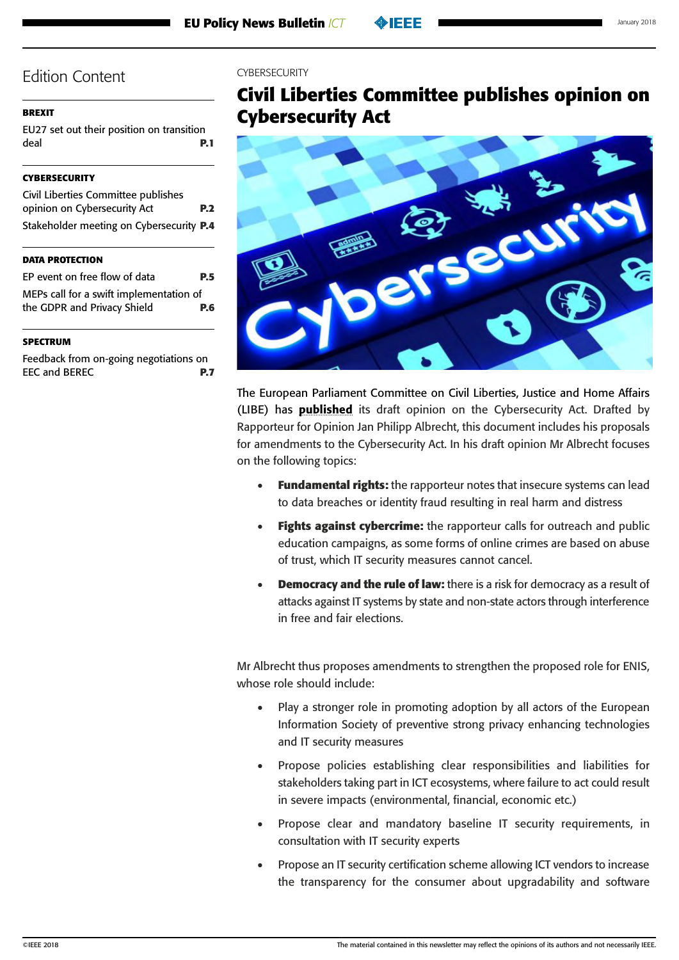## <span id="page-1-0"></span>**[BREXIT](#page-0-0)**

[EU27 set out their position on transition](#page-0-0)  [deal](#page-0-0) **P.1**

## **CYBERSECURITY**

| Civil Liberties Committee publishes      |            |
|------------------------------------------|------------|
| opinion on Cybersecurity Act             | <b>P.2</b> |
| Stakeholder meeting on Cybersecurity P.4 |            |

### **[DATA PROTECTION](#page-4-0)**

| EP event on free flow of data           | <b>P.5</b> |
|-----------------------------------------|------------|
| MEPs call for a swift implementation of |            |
| the GDPR and Privacy Shield             | P.6        |
|                                         |            |

### **[SPECTRUM](#page-6-0)**

[Feedback from on-going negotiations on](#page-6-0)  [EEC and BEREC](#page-6-0) **P.7**

#### CYRERSECURITY

# **Civil Liberties Committee publishes opinion on Cybersecurity Act**



The European Parliament Committee on Civil Liberties, Justice and Home Affairs (LIBE) has [published](http://www.europarl.europa.eu/sides/getDoc.do?type=COMPARL&reference=PE-615.394&format=PDF&language=EN&secondRef=01) its draft opinion on the Cybersecurity Act. Drafted by Rapporteur for Opinion Jan Philipp Albrecht, this document includes his proposals for amendments to the Cybersecurity Act. In his draft opinion Mr Albrecht focuses on the following topics:

- • **Fundamental rights:** the rapporteur notes that insecure systems can lead to data breaches or identity fraud resulting in real harm and distress
- **Fights against cybercrime:** the rapporteur calls for outreach and public education campaigns, as some forms of online crimes are based on abuse of trust, which IT security measures cannot cancel.
- • **Democracy and the rule of law:** there is a risk for democracy as a result of attacks against IT systems by state and non-state actors through interference in free and fair elections.

Mr Albrecht thus proposes amendments to strengthen the proposed role for ENIS, whose role should include:

- Play a stronger role in promoting adoption by all actors of the European Information Society of preventive strong privacy enhancing technologies and IT security measures
- Propose policies establishing clear responsibilities and liabilities for stakeholders taking part in ICT ecosystems, where failure to act could result in severe impacts (environmental, financial, economic etc.)
- Propose clear and mandatory baseline IT security requirements, in consultation with IT security experts
- Propose an IT security certification scheme allowing ICT vendors to increase the transparency for the consumer about upgradability and software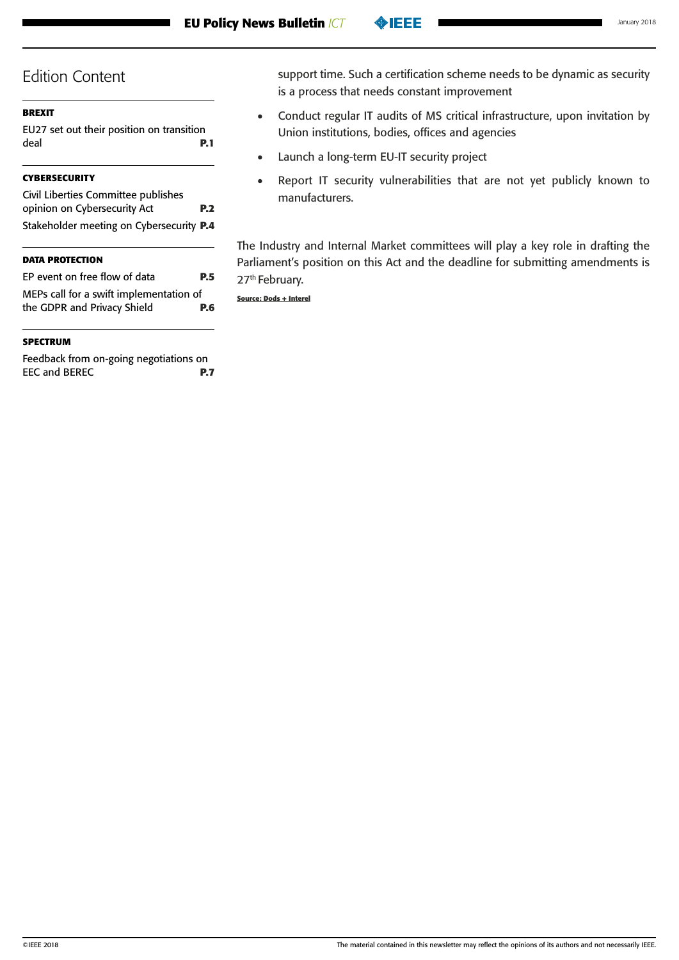## **[BREXIT](#page-0-0)**

[EU27 set out their position on transition](#page-0-0)  [deal](#page-0-0) **P.1**

# **[CYBERSECURITY](#page-1-0)**

| Civil Liberties Committee publishes      |            |
|------------------------------------------|------------|
| opinion on Cybersecurity Act             | <b>P.2</b> |
| Stakeholder meeting on Cybersecurity P.4 |            |

## **[DATA PROTECTION](#page-4-0)**

| EP event on free flow of data           | <b>P.5</b> |
|-----------------------------------------|------------|
| MEPs call for a swift implementation of |            |
| the GDPR and Privacy Shield             | <b>P.6</b> |
|                                         |            |

## **[SPECTRUM](#page-6-0)**

[Feedback from on-going negotiations on](#page-6-0)  [EEC and BEREC](#page-6-0) **P.7** support time. Such a certification scheme needs to be dynamic as security is a process that needs constant improvement

- • Conduct regular IT audits of MS critical infrastructure, upon invitation by Union institutions, bodies, offices and agencies
- • Launch a long-term EU-IT security project
- Report IT security vulnerabilities that are not yet publicly known to manufacturers.

The Industry and Internal Market committees will play a key role in drafting the Parliament's position on this Act and the deadline for submitting amendments is 27<sup>th</sup> February.

**Source: Dods + Interel**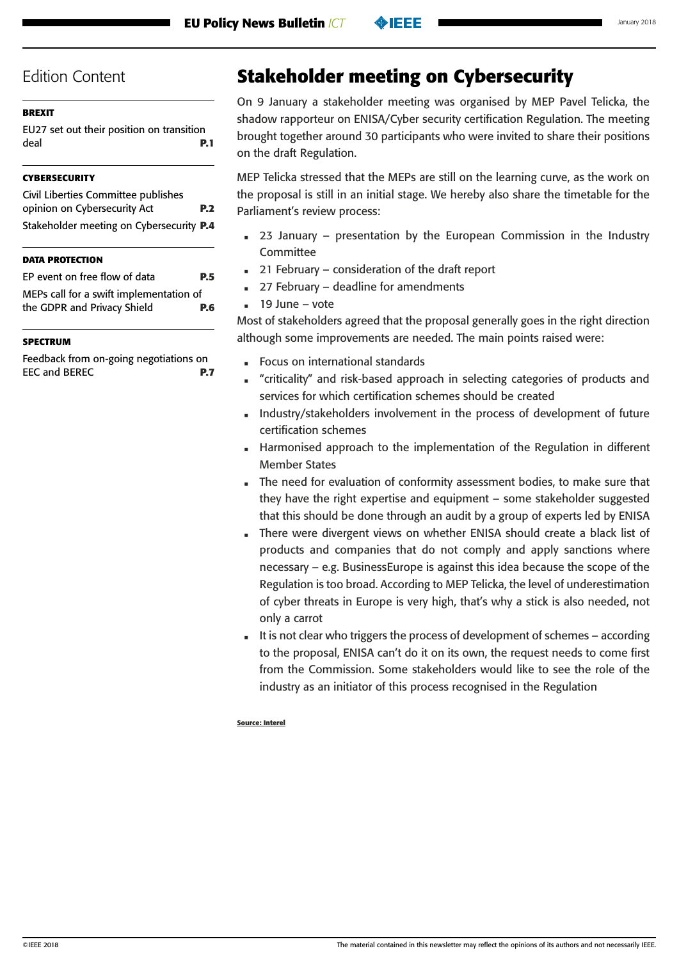## <span id="page-3-0"></span>**[BREXIT](#page-0-0)**

[EU27 set out their position on transition](#page-0-0)  [deal](#page-0-0) **P.1**

# **[CYBERSECURITY](#page-1-0)**

| Civil Liberties Committee publishes      |            |
|------------------------------------------|------------|
| opinion on Cybersecurity Act             | <b>P.2</b> |
| Stakeholder meeting on Cybersecurity P.4 |            |

## **[DATA PROTECTION](#page-4-0)**

| EP event on free flow of data           | <b>P.5</b> |
|-----------------------------------------|------------|
| MEPs call for a swift implementation of |            |
| the GDPR and Privacy Shield             | <b>P.6</b> |
|                                         |            |

## **[SPECTRUM](#page-6-0)**

[Feedback from on-going negotiations on](#page-6-0)  [EEC and BEREC](#page-6-0) **P.7**

# **Stakeholder meeting on Cybersecurity**

On 9 January a stakeholder meeting was organised by MEP Pavel Telicka, the shadow rapporteur on ENISA/Cyber security certification Regulation. The meeting brought together around 30 participants who were invited to share their positions on the draft Regulation.

MEP Telicka stressed that the MEPs are still on the learning curve, as the work on the proposal is still in an initial stage. We hereby also share the timetable for the Parliament's review process:

- 23 January presentation by the European Commission in the Industry Committee
- 21 February consideration of the draft report
- 27 February deadline for amendments
- 19 June vote

Most of stakeholders agreed that the proposal generally goes in the right direction although some improvements are needed. The main points raised were:

- Focus on international standards
- "criticality" and risk-based approach in selecting categories of products and services for which certification schemes should be created
- Industry/stakeholders involvement in the process of development of future certification schemes
- Harmonised approach to the implementation of the Regulation in different Member States
- The need for evaluation of conformity assessment bodies, to make sure that they have the right expertise and equipment – some stakeholder suggested that this should be done through an audit by a group of experts led by ENISA
- There were divergent views on whether ENISA should create a black list of products and companies that do not comply and apply sanctions where necessary – e.g. BusinessEurope is against this idea because the scope of the Regulation is too broad. According to MEP Telicka, the level of underestimation of cyber threats in Europe is very high, that's why a stick is also needed, not only a carrot
- It is not clear who triggers the process of development of schemes according to the proposal, ENISA can't do it on its own, the request needs to come first from the Commission. Some stakeholders would like to see the role of the industry as an initiator of this process recognised in the Regulation

#### **Source: Interel**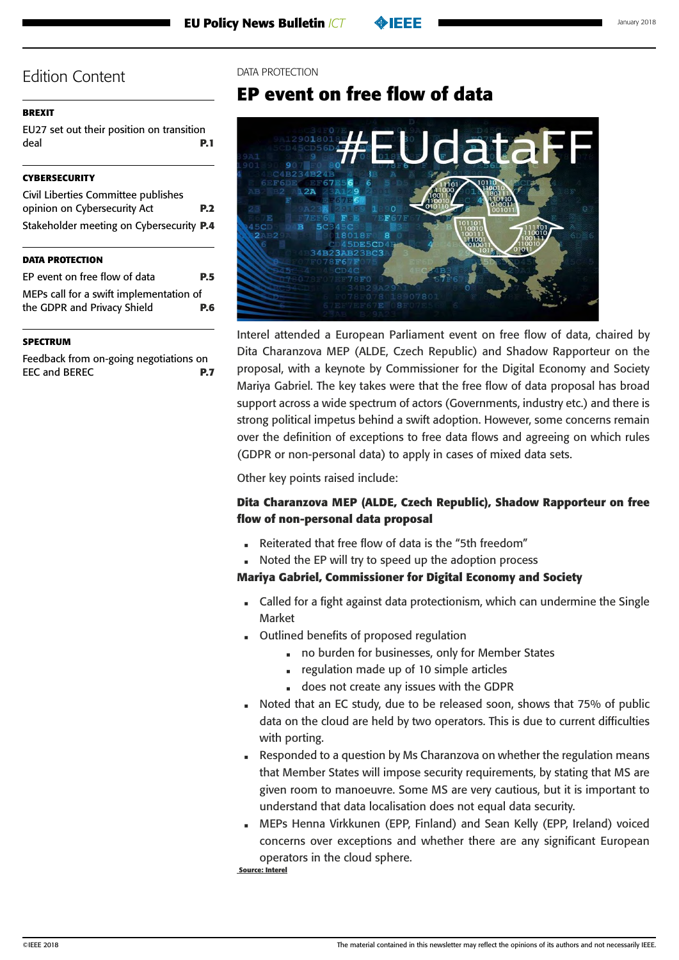#### <span id="page-4-0"></span>**[BREXIT](#page-0-0)**

[EU27 set out their position on transition](#page-0-0)  [deal](#page-0-0) **P.1**

#### **[CYBERSECURITY](#page-1-0)**

| Civil Liberties Committee publishes      |            |
|------------------------------------------|------------|
| opinion on Cybersecurity Act             | <b>P.2</b> |
| Stakeholder meeting on Cybersecurity P.4 |            |

#### **DATA PROTECTION**

| EP event on free flow of data           | <b>P.5</b> |
|-----------------------------------------|------------|
| MEPs call for a swift implementation of |            |
| the GDPR and Privacy Shield             | P.6        |

#### **[SPECTRUM](#page-6-0)**

[Feedback from on-going negotiations on](#page-6-0)  [EEC and BEREC](#page-6-0) **P.7**

#### DATA PROTECTION

# **EP event on free flow of data**



Interel attended a European Parliament event on free flow of data, chaired by Dita Charanzova MEP (ALDE, Czech Republic) and Shadow Rapporteur on the proposal, with a keynote by Commissioner for the Digital Economy and Society Mariya Gabriel. The key takes were that the free flow of data proposal has broad support across a wide spectrum of actors (Governments, industry etc.) and there is strong political impetus behind a swift adoption. However, some concerns remain over the definition of exceptions to free data flows and agreeing on which rules (GDPR or non-personal data) to apply in cases of mixed data sets.

Other key points raised include:

## **Dita Charanzova MEP (ALDE, Czech Republic), Shadow Rapporteur on free flow of non-personal data proposal**

- Reiterated that free flow of data is the "5th freedom"
- Noted the EP will try to speed up the adoption process

### **Mariya Gabriel, Commissioner for Digital Economy and Society**

- Called for a fight against data protectionism, which can undermine the Single Market
- Outlined benefits of proposed regulation
	- no burden for businesses, only for Member States
	- regulation made up of 10 simple articles
	- does not create any issues with the GDPR
- Noted that an EC study, due to be released soon, shows that 75% of public data on the cloud are held by two operators. This is due to current difficulties with porting.
- Responded to a question by Ms Charanzova on whether the regulation means that Member States will impose security requirements, by stating that MS are given room to manoeuvre. Some MS are very cautious, but it is important to understand that data localisation does not equal data security.
- MEPs Henna Virkkunen (EPP, Finland) and Sean Kelly (EPP, Ireland) voiced concerns over exceptions and whether there are any significant European operators in the cloud sphere.

 **Source: Interel**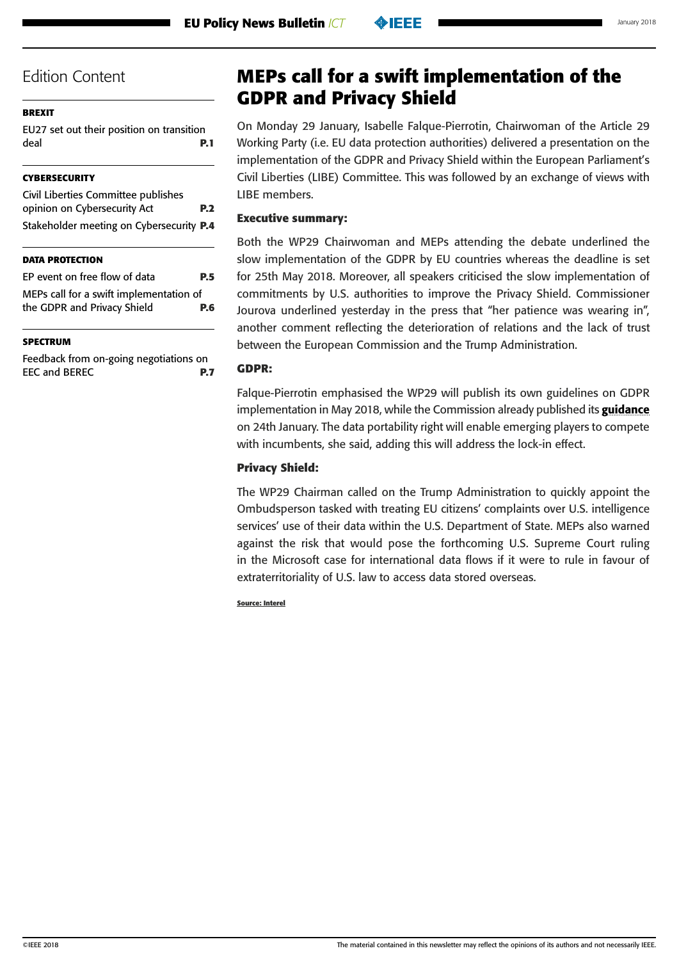#### <span id="page-5-0"></span>**[BREXIT](#page-0-0)**

[EU27 set out their position on transition](#page-0-0)  [deal](#page-0-0) **P.1**

#### **[CYBERSECURITY](#page-1-0)**

[Civil Liberties Committee publishes](#page-1-0)  [opinion on Cybersecurity Act](#page-1-0) **P.2** [Stakeholder meeting on Cybersecurity](#page-3-0) **P.4**

#### **[DATA PROTECTION](#page-4-0)**

| EP event on free flow of data           | <b>P.5</b> |
|-----------------------------------------|------------|
| MEPs call for a swift implementation of |            |
| the GDPR and Privacy Shield             | P.6        |
|                                         |            |

#### **[SPECTRUM](#page-6-0)**

[Feedback from on-going negotiations on](#page-6-0)  [EEC and BEREC](#page-6-0) **P.7**

# **MEPs call for a swift implementation of the GDPR and Privacy Shield**

On Monday 29 January, Isabelle Falque-Pierrotin, Chairwoman of the Article 29 Working Party (i.e. EU data protection authorities) delivered a presentation on the implementation of the GDPR and Privacy Shield within the European Parliament's Civil Liberties (LIBE) Committee. This was followed by an exchange of views with LIBE members.

### **Executive summary:**

Both the WP29 Chairwoman and MEPs attending the debate underlined the slow implementation of the GDPR by EU countries whereas the deadline is set for 25th May 2018. Moreover, all speakers criticised the slow implementation of commitments by U.S. authorities to improve the Privacy Shield. Commissioner Jourova underlined yesterday in the press that "her patience was wearing in", another comment reflecting the deterioration of relations and the lack of trust between the European Commission and the Trump Administration.

#### **GDPR:**

Falque-Pierrotin emphasised the WP29 will publish its own guidelines on GDPR implementation in May 2018, while the Commission already published its **[guidance](http://europa.eu/rapid/press-release_IP-18-386_en.htm)** on 24th January. The data portability right will enable emerging players to compete with incumbents, she said, adding this will address the lock-in effect.

#### **Privacy Shield:**

The WP29 Chairman called on the Trump Administration to quickly appoint the Ombudsperson tasked with treating EU citizens' complaints over U.S. intelligence services' use of their data within the U.S. Department of State. MEPs also warned against the risk that would pose the forthcoming U.S. Supreme Court ruling in the Microsoft case for international data flows if it were to rule in favour of extraterritoriality of U.S. law to access data stored overseas.

**Source: Interel**